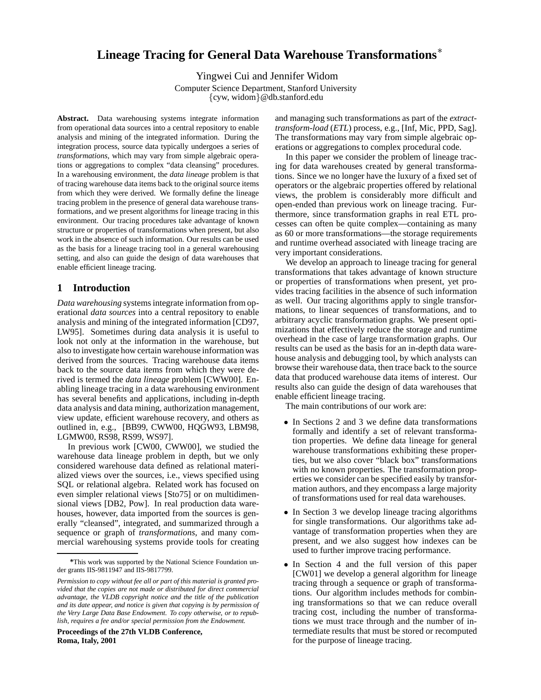# **Lineage Tracing for General Data Warehouse Transformations**<sup>∗</sup>

Yingwei Cui and Jennifer Widom Computer Science Department, Stanford University {cyw, widom}@db.stanford.edu

**Abstract.** Data warehousing systems integrate information from operational data sources into a central repository to enable analysis and mining of the integrated information. During the integration process, source data typically undergoes a series of *transformations*, which may vary from simple algebraic operations or aggregations to complex "data cleansing" procedures. In a warehousing environment, the *data lineage* problem is that of tracing warehouse data items back to the original source items from which they were derived. We formally define the lineage tracing problem in the presence of general data warehouse transformations, and we present algorithms for lineage tracing in this environment. Our tracing procedures take advantage of known structure or properties of transformations when present, but also work in the absence of such information. Our results can be used as the basis for a lineage tracing tool in a general warehousing setting, and also can guide the design of data warehouses that enable efficient lineage tracing.

# **1 Introduction**

*Data warehousing* systems integrate information from operational *data sources* into a central repository to enable analysis and mining of the integrated information [CD97, LW95]. Sometimes during data analysis it is useful to look not only at the information in the warehouse, but also to investigate how certain warehouse information was derived from the sources. Tracing warehouse data items back to the source data items from which they were derived is termed the *data lineage* problem [CWW00]. Enabling lineage tracing in a data warehousing environment has several benefits and applications, including in-depth data analysis and data mining, authorization management, view update, efficient warehouse recovery, and others as outlined in, e.g., [BB99, CWW00, HQGW93, LBM98, LGMW00, RS98, RS99, WS97].

In previous work [CW00, CWW00], we studied the warehouse data lineage problem in depth, but we only considered warehouse data defined as relational materialized views over the sources, i.e., views specified using SQL or relational algebra. Related work has focused on even simpler relational views [Sto75] or on multidimensional views [DB2, Pow]. In real production data warehouses, however, data imported from the sources is generally "cleansed", integrated, and summarized through a sequence or graph of *transformations*, and many commercial warehousing systems provide tools for creating

**Proceedings of the 27th VLDB Conference, Roma, Italy, 2001**

and managing such transformations as part of the *extracttransform-load* (*ETL*) process, e.g., [Inf, Mic, PPD, Sag]. The transformations may vary from simple algebraic operations or aggregations to complex procedural code.

In this paper we consider the problem of lineage tracing for data warehouses created by general transformations. Since we no longer have the luxury of a fixed set of operators or the algebraic properties offered by relational views, the problem is considerably more difficult and open-ended than previous work on lineage tracing. Furthermore, since transformation graphs in real ETL processes can often be quite complex—containing as many as 60 or more transformations—the storage requirements and runtime overhead associated with lineage tracing are very important considerations.

We develop an approach to lineage tracing for general transformations that takes advantage of known structure or properties of transformations when present, yet provides tracing facilities in the absence of such information as well. Our tracing algorithms apply to single transformations, to linear sequences of transformations, and to arbitrary acyclic transformation graphs. We present optimizations that effectively reduce the storage and runtime overhead in the case of large transformation graphs. Our results can be used as the basis for an in-depth data warehouse analysis and debugging tool, by which analysts can browse their warehouse data, then trace back to the source data that produced warehouse data items of interest. Our results also can guide the design of data warehouses that enable efficient lineage tracing.

The main contributions of our work are:

- In Sections 2 and 3 we define data transformations formally and identify a set of relevant transformation properties. We define data lineage for general warehouse transformations exhibiting these properties, but we also cover "black box" transformations with no known properties. The transformation properties we consider can be specified easily by transformation authors, and they encompass a large majority of transformations used for real data warehouses.
- In Section 3 we develop lineage tracing algorithms for single transformations. Our algorithms take advantage of transformation properties when they are present, and we also suggest how indexes can be used to further improve tracing performance.
- In Section 4 and the full version of this paper [CW01] we develop a general algorithm for lineage tracing through a sequence or graph of transformations. Our algorithm includes methods for combining transformations so that we can reduce overall tracing cost, including the number of transformations we must trace through and the number of intermediate results that must be stored or recomputed for the purpose of lineage tracing.

<sup>∗</sup>\*This work was supported by the National Science Foundation under grants IIS-9811947 and IIS-9817799.

*Permission to copy without fee all or part of this material is granted provided that the copies are not made or distributed for direct commercial advantage, the VLDB copyright notice and the title of the publication and its date appear, and notice is given that copying is by permission of the Very Large Data Base Endowment. To copy otherwise, or to republish, requires a fee and/or special permission from the Endowment.*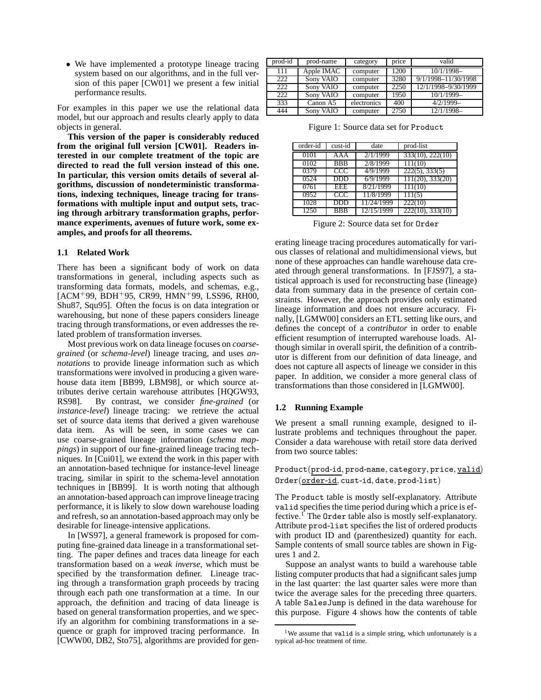• We have implemented a prototype lineage tracing system based on our algorithms, and in the full version of this paper [CW01] we present a few initial performance results.

For examples in this paper we use the relational data model, but our approach and results clearly apply to data objects in general.

**This version of the paper is considerably reduced from the original full version [CW01]. Readers interested in our complete treatment of the topic are directed to read the full version instead of this one. In particular, this version omits details of several algorithms, discussion of nondeterministic transformations, indexing techniques, lineage tracing for transformations with multiple input and output sets, tracing through arbitrary transformation graphs, performance experiments, avenues of future work, some examples, and proofs for all theorems.**

### **1.1 Related Work**

There has been a significant body of work on data transformations in general, including aspects such as transforming data formats, models, and schemas, e.g.,  $[ACM<sup>+</sup>99, BDH<sup>+</sup>95, CR99, HMN<sup>+</sup>99, LSS96, RH00,$ Shu87, Squ95]. Often the focus is on data integration or warehousing, but none of these papers considers lineage tracing through transformations, or even addresses the related problem of transformation inverses.

Most previous work on data lineage focuses on *coarsegrained* (or *schema-level*) lineage tracing, and uses *annotations* to provide lineage information such as which transformations were involved in producing a given warehouse data item [BB99, LBM98], or which source attributes derive certain warehouse attributes [HQGW93, RS98]. By contrast, we consider *fine-grained* (or *instance-level*) lineage tracing: we retrieve the actual set of source data items that derived a given warehouse data item. As will be seen, in some cases we can use coarse-grained lineage information (*schema mappings*) in support of our fine-grained lineage tracing techniques. In [Cui01], we extend the work in this paper with an annotation-based technique for instance-level lineage tracing, similar in spirit to the schema-level annotation techniques in [BB99]. It is worth noting that although an annotation-based approach can improve lineage tracing performance, it is likely to slow down warehouse loading and refresh, so an annotation-based approach may only be desirable for lineage-intensive applications.

In [WS97], a general framework is proposed for computing fine-grained data lineage in a transformational setting. The paper defines and traces data lineage for each transformation based on a *weak inverse*, which must be specified by the transformation definer. Lineage tracing through a transformation graph proceeds by tracing through each path one transformation at a time. In our approach, the definition and tracing of data lineage is based on general transformation properties, and we specify an algorithm for combining transformations in a sequence or graph for improved tracing performance. In [CWW00, DB2, Sto75], algorithms are provided for gen-

| prod-id | prod-name             | category    | price | valid               |
|---------|-----------------------|-------------|-------|---------------------|
| 111     | Apple IMAC            | computer    | 1200  | $10/1/1998-$        |
| 222     | Sony VAIO             | computer    | 3280  | 9/1/1998-11/30/1998 |
| 222     | Sony VAIO             | computer    | 2250  | 12/1/1998-9/30/1999 |
| 222     | Sony VAIO             | computer    | 1950  | 10/1/1999-          |
| 333     | Canon $\overline{A5}$ | electronics | 400   | $4/2/1999-$         |
| 444     | Sony VAIO             | computer    | 2750  | 12/1/1998-          |

Figure 1: Source data set for Product

| order-id | cust-id    | date       | prod-list             |
|----------|------------|------------|-----------------------|
| 0101     | AAA        | 2/1/1999   | $333(10)$ , $222(10)$ |
| 0102     | <b>BBB</b> | 2/8/1999   | 111(10)               |
| 0379     | ccc        | 4/9/1999   | $222(5)$ , $333(5)$   |
| 0524     | DDD        | 6/9/1999   | 111(20), 333(20)      |
| 0761     | <b>EEE</b> | 8/21/1999  | $\overline{111(10)}$  |
| 0952     | CCC        | 11/8/1999  | 111(5)                |
| 1028     | DDD        | 11/24/1999 | 222(10)               |
| 1250     | <b>BBB</b> | 12/15/1999 | 222(10), 333(10)      |

Figure 2: Source data set for Order

erating lineage tracing procedures automatically for various classes of relational and multidimensional views, but none of these approaches can handle warehouse data created through general transformations. In [FJS97], a statistical approach is used for reconstructing base (lineage) data from summary data in the presence of certain constraints. However, the approach provides only estimated lineage information and does not ensure accuracy. Finally, [LGMW00] considers an ETL setting like ours, and defines the concept of a *contributor* in order to enable efficient resumption of interrupted warehouse loads. Although similar in overall spirit, the definition of a contributor is different from our definition of data lineage, and does not capture all aspects of lineage we consider in this paper. In addition, we consider a more general class of transformations than those considered in [LGMW00].

#### **1.2 Running Example**

We present a small running example, designed to illustrate problems and techniques throughout the paper. Consider a data warehouse with retail store data derived from two source tables:

Product(prod-id, prod-name, category, price, valid) Order(order-id, cust-id, date, prod-list)

The Product table is mostly self-explanatory. Attribute valid specifies the time period during which a price is effective.<sup>1</sup> The Order table also is mostly self-explanatory. Attribute prod-list specifies the list of ordered products with product ID and (parenthesized) quantity for each. Sample contents of small source tables are shown in Figures 1 and 2.

Suppose an analyst wants to build a warehouse table listing computer products that had a significant sales jump in the last quarter: the last quarter sales were more than twice the average sales for the preceding three quarters. A table SalesJump is defined in the data warehouse for this purpose. Figure 4 shows how the contents of table

 $1$ We assume that valid is a simple string, which unfortunately is a typical ad-hoc treatment of time.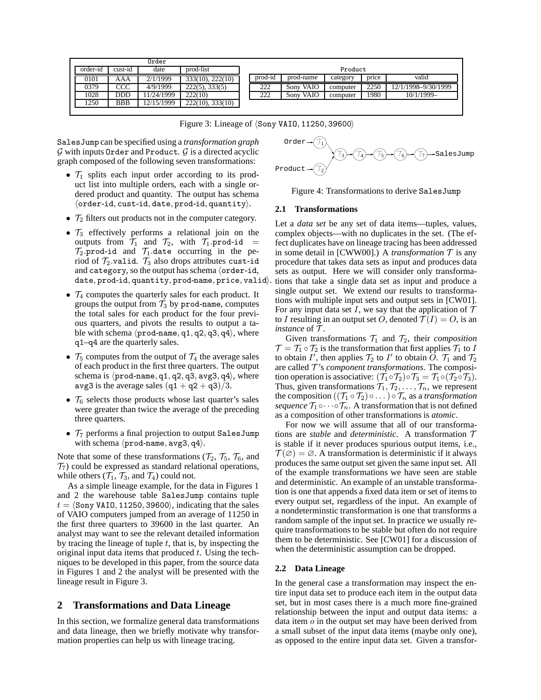|          |            | Order      |                                     |         |                     |          |       |                 |
|----------|------------|------------|-------------------------------------|---------|---------------------|----------|-------|-----------------|
| order-id | cust-id    | date       | prod-list                           |         |                     | Product  |       |                 |
| 0101     | AAA        | 2/1/1999   | 333(10), 222(10)                    | prod-id | prod-name           | category | price | valid           |
| 0379     | CCC        | 4/9/1999   | 333(5)<br>$\angle 22(5)$ , $\angle$ | ∠∠∠     | <b>VAIO</b><br>Sony | computer | 2250  | /1998-9/30/1999 |
| 1028     | DDD        | 1/24/1999  | 222(10)                             | 222     | <b>VAIO</b><br>Sony | computer | 1980  | 10/1/1999–      |
| 1250     | <b>BBB</b> | 12/15/1999 | 222(10), 333(10)                    |         |                     |          |       |                 |

Figure 3: Lineage of  $\langle$ Sony VAIO, 11250, 39600 $\rangle$ 

SalesJump can be specified using a *transformation graph*  $\mathcal G$  with inputs Order and Product.  $\mathcal G$  is a directed acyclic graph composed of the following seven transformations:

- $\mathcal{T}_1$  splits each input order according to its product list into multiple orders, each with a single ordered product and quantity. The output has schema  $\langle$ order-id, cust-id, date, prod-id, quantity $\rangle$ .
- $\mathcal{T}_2$  filters out products not in the computer category.
- $\mathcal{T}_3$  effectively performs a relational join on the outputs from  $\mathcal{T}_1$  and  $\mathcal{T}_2$ , with  $\mathcal{T}_1$ .prod-id =  $\mathcal{T}_2$ .prod-id and  $\mathcal{T}_1$ .date occurring in the period of  $\mathcal{T}_2$  valid.  $\mathcal{T}_3$  also drops attributes cust-id and category, so the output has schema  $\langle$  order-id, date, prod-id, quantity, prod-name, price, valid)
- $\mathcal{T}_4$  computes the quarterly sales for each product. It groups the output from  $\mathcal{T}_3$  by prod-name, computes the total sales for each product for the four previous quarters, and pivots the results to output a table with schema  $\langle$ prod-name, q1, q2, q3, q4 $\rangle$ , where q1–q4 are the quarterly sales.
- $\mathcal{T}_5$  computes from the output of  $\mathcal{T}_4$  the average sales of each product in the first three quarters. The output schema is  $\langle$ prod-name, q1, q2, q3, avg3, q4 $\rangle$ , where avg3 is the average sales  $(q1 + q2 + q3)/3$ .
- $\mathcal{T}_6$  selects those products whose last quarter's sales were greater than twice the average of the preceding three quarters.
- $\mathcal{T}_7$  performs a final projection to output SalesJump with schema  $\langle$ prod-name, avg3, q4 $\rangle$ .

Note that some of these transformations ( $\mathcal{T}_2$ ,  $\mathcal{T}_5$ ,  $\mathcal{T}_6$ , and  $\mathcal{T}_7$ ) could be expressed as standard relational operations, while others  $(\mathcal{T}_1, \mathcal{T}_3, \text{ and } \mathcal{T}_4)$  could not.

As a simple lineage example, for the data in Figures 1 and 2 the warehouse table SalesJump contains tuple  $t = \langle$ Sony VAIO, 11250, 39600 $\rangle$ , indicating that the sales of VAIO computers jumped from an average of 11250 in the first three quarters to 39600 in the last quarter. An analyst may want to see the relevant detailed information by tracing the lineage of tuple  $t$ , that is, by inspecting the original input data items that produced  $t$ . Using the techniques to be developed in this paper, from the source data in Figures 1 and 2 the analyst will be presented with the lineage result in Figure 3.

## **2 Transformations and Data Lineage**

In this section, we formalize general data transformations and data lineage, then we briefly motivate why transformation properties can help us with lineage tracing.



Figure 4: Transformations to derive SalesJump

## **2.1 Transformations**

Let a *data set* be any set of data items—tuples, values, complex objects—with no duplicates in the set. (The effect duplicates have on lineage tracing has been addressed in some detail in [CWW00].) A *transformation*  $T$  is any procedure that takes data sets as input and produces data sets as output. Here we will consider only transformations that take a single data set as input and produce a single output set. We extend our results to transformations with multiple input sets and output sets in [CW01]. For any input data set I, we say that the application of  $\mathcal T$ to I resulting in an output set O, denoted  $\mathcal{T}(I) = O$ , is an *instance* of T.

Given transformations  $\mathcal{T}_1$  and  $\mathcal{T}_2$ , their *composition*  $\mathcal{T} = \mathcal{T}_1 \circ \mathcal{T}_2$  is the transformation that first applies  $\mathcal{T}_1$  to I to obtain  $I'$ , then applies  $\mathcal{T}_2$  to  $I'$  to obtain  $\overline{O}$ .  $\mathcal{T}_1$  and  $\mathcal{T}_2$ are called T 's *component transformations*. The composition operation is associative:  $(\mathcal{T}_1 \circ \mathcal{T}_2) \circ \mathcal{T}_3 = \mathcal{T}_1 \circ (\mathcal{T}_2 \circ \mathcal{T}_3)$ . Thus, given transformations  $\mathcal{T}_1, \mathcal{T}_2, \ldots, \mathcal{T}_n$ , we represent the composition  $((\mathcal{T}_1 \circ \mathcal{T}_2) \circ \dots) \circ \mathcal{T}_n$  as a *transformation sequence*  $\mathcal{T}_1 \circ \cdots \circ \mathcal{T}_n$ . A transformation that is not defined as a composition of other transformations is *atomic*.

For now we will assume that all of our transformations are *stable* and *deterministic*. A transformation T is stable if it never produces spurious output items, i.e.,  $\mathcal{T}(\emptyset) = \emptyset$ . A transformation is deterministic if it always produces the same output set given the same input set. All of the example transformations we have seen are stable and deterministic. An example of an unstable transformation is one that appends a fixed data item or set of items to every output set, regardless of the input. An example of a nondeterminstic transformation is one that transforms a random sample of the input set. In practice we usually require transformations to be stable but often do not require them to be deterministic. See [CW01] for a discussion of when the deterministic assumption can be dropped.

#### **2.2 Data Lineage**

In the general case a transformation may inspect the entire input data set to produce each item in the output data set, but in most cases there is a much more fine-grained relationship between the input and output data items: a data item o in the output set may have been derived from a small subset of the input data items (maybe only one), as opposed to the entire input data set. Given a transfor-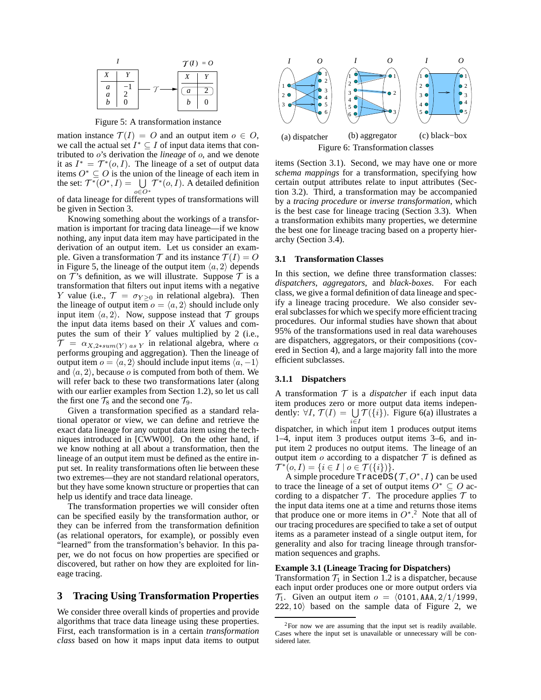

Figure 5: A transformation instance

mation instance  $\mathcal{T}(I) = O$  and an output item  $o \in O$ , we call the actual set  $I^* \subseteq I$  of input data items that contributed to o's derivation the *lineage* of o, and we denote it as  $I^* = \mathcal{T}^*(o, I)$ . The lineage of a set of output data items  $O^* \subseteq O$  is the union of the lineage of each item in the set:  $\mathcal{T}^*(O^*, I) = \bigcup \mathcal{T}^*(o, I)$ . A detailed definition  $o∈O^*$ of data lineage for different types of transformations will

be given in Section 3.

Knowing something about the workings of a transformation is important for tracing data lineage—if we know nothing, any input data item may have participated in the derivation of an output item. Let us consider an example. Given a transformation  $\mathcal T$  and its instance  $\mathcal T(I) = O$ in Figure 5, the lineage of the output item  $\langle a, 2 \rangle$  depends on  $\mathcal T$ 's definition, as we will illustrate. Suppose  $\mathcal T$  is a transformation that filters out input items with a negative Y value (i.e.,  $T = \sigma_{Y>0}$  in relational algebra). Then the lineage of output item  $o = \langle a, 2 \rangle$  should include only input item  $\langle a, 2 \rangle$ . Now, suppose instead that  $\mathcal T$  groups the input data items based on their  $X$  values and computes the sum of their Y values multiplied by 2 (i.e.,  $\mathcal{T} = \alpha_{X,2*sum(Y) \text{ as } Y}$  in relational algebra, where  $\alpha$ performs grouping and aggregation). Then the lineage of output item  $o = \langle a, 2 \rangle$  should include input items  $\langle a, -1 \rangle$ and  $\langle a, 2 \rangle$ , because o is computed from both of them. We will refer back to these two transformations later (along with our earlier examples from Section 1.2), so let us call the first one  $\mathcal{T}_8$  and the second one  $\mathcal{T}_9$ .

Given a transformation specified as a standard relational operator or view, we can define and retrieve the exact data lineage for any output data item using the techniques introduced in [CWW00]. On the other hand, if we know nothing at all about a transformation, then the lineage of an output item must be defined as the entire input set. In reality transformations often lie between these two extremes—they are not standard relational operators, but they have some known structure or properties that can help us identify and trace data lineage.

The transformation properties we will consider often can be specified easily by the transformation author, or they can be inferred from the transformation definition (as relational operators, for example), or possibly even "learned" from the transformation's behavior. In this paper, we do not focus on how properties are specified or discovered, but rather on how they are exploited for lineage tracing.

## **3 Tracing Using Transformation Properties**

We consider three overall kinds of properties and provide algorithms that trace data lineage using these properties. First, each transformation is in a certain *transformation class* based on how it maps input data items to output



items (Section 3.1). Second, we may have one or more *schema mappings* for a transformation, specifying how certain output attributes relate to input attributes (Section 3.2). Third, a transformation may be accompanied by a *tracing procedure* or *inverse transformation*, which is the best case for lineage tracing (Section 3.3). When a transformation exhibits many properties, we determine the best one for lineage tracing based on a property hierarchy (Section 3.4).

#### **3.1 Transformation Classes**

In this section, we define three transformation classes: *dispatchers*, *aggregators*, and *black-boxes*. For each class, we give a formal definition of data lineage and specify a lineage tracing procedure. We also consider several subclasses for which we specify more efficient tracing procedures. Our informal studies have shown that about 95% of the transformations used in real data warehouses are dispatchers, aggregators, or their compositions (covered in Section 4), and a large majority fall into the more efficient subclasses.

## **3.1.1 Dispatchers**

A transformation  $T$  is a *dispatcher* if each input data item produces zero or more output data items independently:  $\forall I, \mathcal{T}(I) = \bigcup$ i∈I  $\mathcal{T}(\{i\})$ . Figure 6(a) illustrates a dispatcher, in which input item 1 produces output items 1–4, input item 3 produces output items 3–6, and input item 2 produces no output items. The lineage of an output item  $o$  according to a dispatcher  $\mathcal T$  is defined as  $\mathcal{T}^{*}(o,I) = \{i \in I \mid o \in \mathcal{T}(\{i\})\}.$ 

A simple procedure  $TraceDS(T, O^*, I)$  can be used to trace the lineage of a set of output items  $O^* \subseteq O$  according to a dispatcher  $\mathcal T$ . The procedure applies  $\mathcal T$  to the input data items one at a time and returns those items that produce one or more items in  $O^*$ .<sup>2</sup> Note that all of our tracing procedures are specified to take a set of output items as a parameter instead of a single output item, for generality and also for tracing lineage through transformation sequences and graphs.

#### **Example 3.1 (Lineage Tracing for Dispatchers)**

Transformation  $T_1$  in Section 1.2 is a dispatcher, because each input order produces one or more output orders via  $\mathcal{T}_1$ . Given an output item  $o = \langle 0101, AAA, 2/1/1999, \rangle$  $222, 10$  based on the sample data of Figure 2, we

<sup>2</sup>For now we are assuming that the input set is readily available. Cases where the input set is unavailable or unnecessary will be considered later.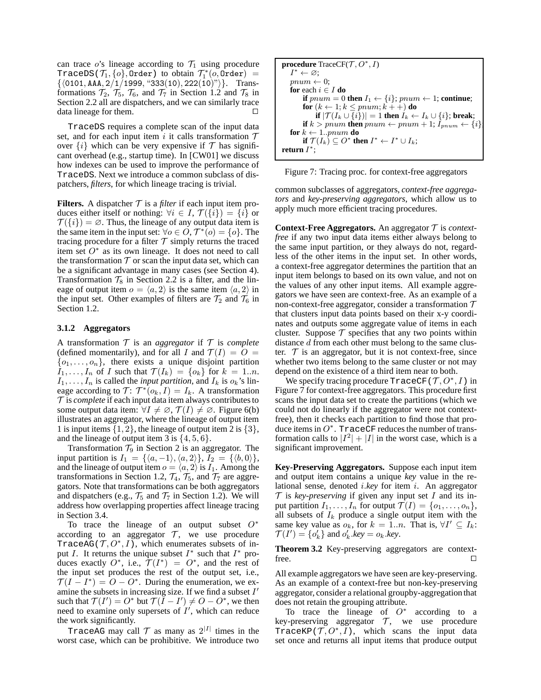can trace o's lineage according to  $\mathcal{T}_1$  using procedure TraceDS( $\mathcal{T}_1, \{o\}$ , Order) to obtain  $\mathcal{T}_1^*(o, \texttt{Order}) =$  $\{\langle 0101, AAA, 2/1/1999, "333(10), 222(10)" \rangle\}.$  Transformations  $\mathcal{T}_2$ ,  $\mathcal{T}_5$ ,  $\mathcal{T}_6$ , and  $\mathcal{T}_7$  in Section 1.2 and  $\mathcal{T}_8$  in Section 2.2 all are dispatchers, and we can similarly trace data lineage for them.

TraceDS requires a complete scan of the input data set, and for each input item i it calls transformation  $\mathcal T$ over  $\{i\}$  which can be very expensive if  $\mathcal T$  has significant overhead (e.g., startup time). In [CW01] we discuss how indexes can be used to improve the performance of TraceDS. Next we introduce a common subclass of dispatchers, *filters*, for which lineage tracing is trivial.

**Filters.** A dispatcher  $T$  is a *filter* if each input item produces either itself or nothing:  $\forall i \in I$ ,  $\mathcal{T}(\{i\}) = \{i\}$  or  $\mathcal{T}(\{i\}) = \emptyset$ . Thus, the lineage of any output data item is the same item in the input set:  $\forall o \in O, \mathcal{T}^*(o) = \{o\}.$  The tracing procedure for a filter  $T$  simply returns the traced item set  $O^*$  as its own lineage. It does not need to call the transformation  $T$  or scan the input data set, which can be a significant advantage in many cases (see Section 4). Transformation  $\mathcal{T}_8$  in Section 2.2 is a filter, and the lineage of output item  $o = \langle a, 2 \rangle$  is the same item  $\langle a, 2 \rangle$  in the input set. Other examples of filters are  $\mathcal{T}_2$  and  $\mathcal{T}_6$  in Section 1.2.

#### **3.1.2 Aggregators**

A transformation  $\mathcal T$  is an *aggregator* if  $\mathcal T$  is *complete* (defined momentarily), and for all I and  $\mathcal{T}(I) = O$  =  $\{o_1, \ldots, o_n\}$ , there exists a unique disjoint partition  $I_1, \ldots, I_n$  of I such that  $\mathcal{T}(I_k) = \{o_k\}$  for  $k = 1...n$ .  $I_1, \ldots, I_n$  is called the *input partition*, and  $I_k$  is  $o_k$ 's lineage according to  $\mathcal{T}$ :  $\mathcal{T}^*(o_k, I) = I_k$ . A transformation  $\tau$  is *complete* if each input data item always contributes to some output data item:  $\forall I \neq \emptyset$ ,  $\mathcal{T}(I) \neq \emptyset$ . Figure 6(b) illustrates an aggregator, where the lineage of output item 1 is input items  $\{1, 2\}$ , the lineage of output item 2 is  $\{3\}$ , and the lineage of output item 3 is  $\{4, 5, 6\}$ .

Transformation  $T_9$  in Section 2 is an aggregator. The input partition is  $I_1 = {\{\langle a, -1 \rangle, \langle a, 2 \rangle\}}, I_2 = {\{\langle b, 0 \rangle\}},$ and the lineage of output item  $o = \langle a, 2 \rangle$  is  $I_1$ . Among the transformations in Section 1.2,  $\mathcal{T}_4$ ,  $\mathcal{T}_5$ , and  $\mathcal{T}_7$  are aggregators. Note that transformations can be both aggregators and dispatchers (e.g.,  $\mathcal{T}_5$  and  $\mathcal{T}_7$  in Section 1.2). We will address how overlapping properties affect lineage tracing in Section 3.4.

To trace the lineage of an output subset  $O^*$ according to an aggregator  $\mathcal{T}$ , we use procedure TraceAG( $\mathcal{T}, O^*, I$ ), which enumerates subsets of input *I*. It returns the unique subset  $I^*$  such that  $I^*$  produces exactly  $O^*$ , i.e.,  $\mathcal{T}(I^*) = O^*$ , and the rest of the input set produces the rest of the output set, i.e.,  $\mathcal{T}(I - I^*) = O - O^*$ . During the enumeration, we examine the subsets in increasing size. If we find a subset  $I'$ such that  $\mathcal{T}(I') = O^*$  but  $\mathcal{T}(I - I') \neq O - O^*$ , we then need to examine only supersets of  $I'$ , which can reduce the work significantly.

TraceAG may call  ${\cal T}$  as many as  $2^{|I|}$  times in the worst case, which can be prohibitive. We introduce two

```
procedure TraceCF(T, O^*, I)I^* \leftarrow \varnothing;pnum \leftarrow 0;for each i \in I do
         if pnum = 0 then I_1 \leftarrow \{i\}; pnum \leftarrow 1; continue;
         for (k \leftarrow 1; k \leq pnum; k + 1) do
              if |\mathcal{T}(I_k \cup \overline{\{i\}})| = 1 then I_k \leftarrow I_k \cup \{i\}; break;
         if k > pnum then pnum \leftarrow pnum + 1; \overline{I}_{pnum} \leftarrow \{i\}for k \leftarrow 1..pnum do
         \mathbf{if}~\mathcal{T}(I_k) \subseteq O^* \text{ then } I^* \leftarrow I^* \cup I_k;return I
∗
;
```
Figure 7: Tracing proc. for context-free aggregators

common subclasses of aggregators, *context-free aggregators* and *key-preserving aggregators*, which allow us to apply much more efficient tracing procedures.

**Context-Free Aggregators.** An aggregator T is *contextfree* if any two input data items either always belong to the same input partition, or they always do not, regardless of the other items in the input set. In other words, a context-free aggregator determines the partition that an input item belongs to based on its own value, and not on the values of any other input items. All example aggregators we have seen are context-free. As an example of a non-context-free aggregator, consider a transformation  $T$ that clusters input data points based on their x-y coordinates and outputs some aggregate value of items in each cluster. Suppose  $\mathcal T$  specifies that any two points within distance d from each other must belong to the same cluster.  $\tau$  is an aggregator, but it is not context-free, since whether two items belong to the same cluster or not may depend on the existence of a third item near to both.

We specify tracing procedure  $\text{TraceCF}(\mathcal{T}, O^*, I)$  in Figure 7 for context-free aggregators. This procedure first scans the input data set to create the partitions (which we could not do linearly if the aggregator were not contextfree), then it checks each partition to find those that produce items in  $O^*$ . TraceCF reduces the number of transformation calls to  $|I^2| + |I|$  in the worst case, which is a significant improvement.

**Key-Preserving Aggregators.** Suppose each input item and output item contains a unique *key* value in the relational sense, denoted i.*key* for item i. An aggregator  $\mathcal T$  is *key-preserving* if given any input set I and its input partition  $I_1, \ldots, I_n$  for output  $\mathcal{T}(I) = \{o_1, \ldots, o_n\},\$ all subsets of  $I_k$  produce a single output item with the same key value as  $o_k$ , for  $k = 1..n$ . That is,  $\forall I' \subseteq I_k$ :  $\mathcal{T}(I') = \{o'_k\}$  and  $o'_k \text{.} key = o_k \text{.} key.$ 

**Theorem 3.2** Key-preserving aggregators are contextfree.  $\Box$ 

All example aggregators we have seen are key-preserving. As an example of a context-free but non-key-preserving aggregator, consider a relational groupby-aggregationthat does not retain the grouping attribute.

To trace the lineage of  $O^*$  according to a key-preserving aggregator  $\mathcal{T}$ , we use procedure TraceKP( $\mathcal{T}, O^*, I$ ), which scans the input data set once and returns all input items that produce output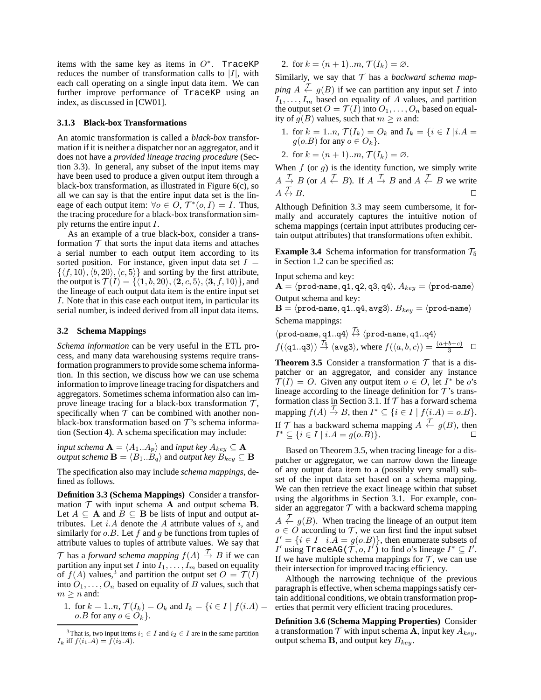items with the same key as items in  $O^*$ . TraceKP reduces the number of transformation calls to  $|I|$ , with each call operating on a single input data item. We can further improve performance of TraceKP using an index, as discussed in [CW01].

#### **3.1.3 Black-box Transformations**

An atomic transformation is called a *black-box* transformation if it is neither a dispatcher nor an aggregator, and it does not have a *provided lineage tracing procedure* (Section 3.3). In general, any subset of the input items may have been used to produce a given output item through a black-box transformation, as illustrated in Figure 6(c), so all we can say is that the entire input data set is the lineage of each output item:  $\forall o \in O, \mathcal{T}^*(o, I) = I$ . Thus, the tracing procedure for a black-box transformation simply returns the entire input I.

As an example of a true black-box, consider a transformation  $T$  that sorts the input data items and attaches a serial number to each output item according to its sorted position. For instance, given input data set  $I =$  $\{\langle f, 10\rangle, \langle b, 20\rangle, \langle c, 5\rangle\}$  and sorting by the first attribute, the output is  $\mathcal{T}(I) = \{\langle \mathbf{1}, b, 20 \rangle, \langle \mathbf{2}, c, 5 \rangle, \langle \mathbf{3}, f, 10 \rangle\}$ , and the lineage of each output data item is the entire input set I. Note that in this case each output item, in particular its serial number, is indeed derived from all input data items.

### **3.2 Schema Mappings**

*Schema information* can be very useful in the ETL process, and many data warehousing systems require transformation programmers to provide some schema information. In this section, we discuss how we can use schema information to improve lineage tracing for dispatchers and aggregators. Sometimes schema information also can improve lineage tracing for a black-box transformation  $\mathcal{T}$ , specifically when  $T$  can be combined with another nonblack-box transformation based on  $T$ 's schema information (Section 4). A schema specification may include:

*input schema*  $\mathbf{A} = \langle A_1..A_p \rangle$  and *input key*  $A_{key} \subseteq \mathbf{A}$ *output schema*  $\mathbf{B} = \langle B_1..B_q \rangle$  and *output key*  $B_{key} \subseteq \mathbf{B}$ 

The specification also may include *schema mappings*, defined as follows.

**Definition 3.3 (Schema Mappings)** Consider a transformation  $T$  with input schema  $A$  and output schema  $B$ . Let  $A \subseteq \mathbf{A}$  and  $B \subseteq \mathbf{B}$  be lists of input and output attributes. Let  $i.A$  denote the  $A$  attribute values of  $i,$  and similarly for  $o.B.$  Let  $f$  and  $g$  be functions from tuples of attribute values to tuples of attribute values. We say that  $\mathcal{T}$  has a *forward schema mapping*  $f(A) \stackrel{\mathcal{T}}{\rightarrow} B$  if we can partition any input set I into  $I_1, \ldots, I_m$  based on equality of  $f(A)$  values,<sup>3</sup> and partition the output set  $O = \mathcal{T}(I)$ into  $O_1, \ldots, O_n$  based on equality of B values, such that  $m \geq n$  and:

1. for 
$$
k = 1...n
$$
,  $\mathcal{T}(I_k) = O_k$  and  $I_k = \{i \in I \mid f(i.A) = o.B$  for any  $o \in O_k\}$ .

2. for  $k = (n + 1)...m, \mathcal{T}(I_k) = \emptyset$ .

Similarly, we say that  $T$  has a *backward schema mapping*  $A \leftarrow g(B)$  if we can partition any input set *I* into  $I_1, \ldots, I_m$  based on equality of A values, and partition the output set  $O = \mathcal{T}(I)$  into  $O_1, \ldots, O_n$  based on equality of  $g(B)$  values, such that  $m \geq n$  and:

1. for  $k = 1..n$ ,  $\mathcal{T}(I_k) = O_k$  and  $I_k = \{i \in I | i.A =$  $g(o.B)$  for any  $o \in O_k$ .

2. for 
$$
k = (n+1)...m
$$
,  $\mathcal{T}(I_k) = \emptyset$ .

When  $f$  (or  $g$ ) is the identity function, we simply write  $A \stackrel{\mathcal{T}}{\rightarrow} B$  (or  $A \stackrel{\mathcal{T}}{\leftarrow} B$ ). If  $A \stackrel{\mathcal{T}}{\rightarrow} B$  and  $A \stackrel{\mathcal{T}}{\leftarrow} B$  we write  $A \stackrel{\mathcal{I}}{\leftarrow}$  $\leftrightarrow$  B.

Although Definition 3.3 may seem cumbersome, it formally and accurately captures the intuitive notion of schema mappings (certain input attributes producing certain output attributes) that transformations often exhibit.

**Example 3.4** Schema information for transformation  $\mathcal{T}_5$ in Section 1.2 can be specified as:

Input schema and key:

 $\mathbf{A} = \langle \texttt{prod-name}, \texttt{q1}, \texttt{q2}, \texttt{q3}, \texttt{q4} \rangle,$   $A_{key} = \langle \texttt{prod-name} \rangle$ Output schema and key:

 $\mathbf{B} = \langle \texttt{prod-name}, \texttt{q1..q4}, \texttt{avg3} \rangle$ .  $B_{key} = \langle \texttt{prod-name} \rangle$ Schema mappings:

 $\langle$ prod-name, q1..q4 $\rangle \stackrel{\mathcal{T}_5}{\leftrightarrow} \langle$ prod-name, q1..q4 $\rangle$ 

$$
f(\langle q1..q3\rangle) \stackrel{\mathcal{T}_5}{\rightarrow} \langle \text{avg3}\rangle
$$
, where  $f(\langle a,b,c\rangle) = \frac{(a+b+c)}{3}$   $\Box$ 

**Theorem 3.5** Consider a transformation  $T$  that is a dispatcher or an aggregator, and consider any instance  $\mathcal{T}(I) = O$ . Given any output item  $o \in O$ , let  $I^*$  be  $o$ 's lineage according to the lineage definition for  $T$ 's transformation class in Section 3.1. If  $\mathcal T$  has a forward schema mapping  $f(A) \stackrel{\mathcal{T}}{\rightarrow} B$ , then  $I^* \subseteq \{i \in I \mid f(i.A) = o.B\}.$ If T has a backward schema mapping  $A \stackrel{\mathcal{T}}{\leftarrow} g(B)$ , then  $I^* \subseteq \{i \in I \mid i.A = g(o.B)\}.$ 

Based on Theorem 3.5, when tracing lineage for a dispatcher or aggregator, we can narrow down the lineage of any output data item to a (possibly very small) subset of the input data set based on a schema mapping. We can then retrieve the exact lineage within that subset using the algorithms in Section 3.1. For example, consider an aggregator  $T$  with a backward schema mapping  $A \stackrel{\mathcal{T}}{\leftarrow} g(B)$ . When tracing the lineage of an output item  $o \in O$  according to T, we can first find the input subset  $I' = \{i \in I \mid i.A = g(o.B)\},$  then enumerate subsets of I' using TraceAG( $\mathcal{T}, o, I'$ ) to find o's lineage  $I^* \subseteq I'.$ If we have multiple schema mappings for  $\mathcal T$ , we can use their intersection for improved tracing efficiency.

Although the narrowing technique of the previous paragraph is effective, when schema mappings satisfy certain additional conditions, we obtain transformation properties that permit very efficient tracing procedures.

**Definition 3.6 (Schema Mapping Properties)** Consider a transformation  $T$  with input schema **A**, input key  $A_{key}$ , output schema **B**, and output key  $B_{key}$ .

<sup>&</sup>lt;sup>3</sup>That is, two input items  $i_1 \in I$  and  $i_2 \in I$  are in the same partition  $I_k$  iff  $f(i_1.A) = \hat{f}(i_2.A)$ .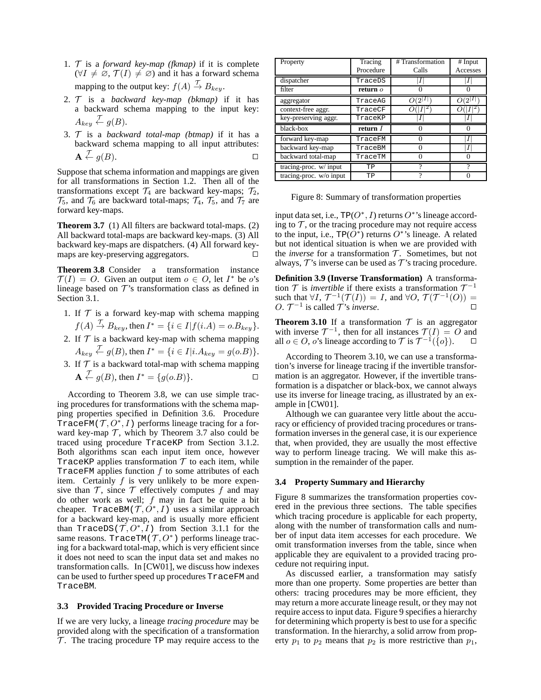- 1. T is a *forward key-map (fkmap)* if it is complete  $(\forall I \neq \emptyset, \mathcal{T}(I) \neq \emptyset)$  and it has a forward schema mapping to the output key:  $f(A) \stackrel{\mathcal{T}}{\rightarrow} B_{key}$ .
- 2. T is a *backward key-map (bkmap)* if it has a backward schema mapping to the input key:  $A_{key} \stackrel{\mathcal{T}}{\leftarrow} g(B).$
- 3. T is a *backward total-map (btmap)* if it has a backward schema mapping to all input attributes:  $\mathbf{A} \stackrel{\mathcal{T}}{\leftarrow} g(B)$ .

Suppose that schema information and mappings are given for all transformations in Section 1.2. Then all of the transformations except  $\mathcal{T}_4$  are backward key-maps;  $\mathcal{T}_2$ ,  $\mathcal{T}_5$ , and  $\mathcal{T}_6$  are backward total-maps;  $\mathcal{T}_4$ ,  $\mathcal{T}_5$ , and  $\mathcal{T}_7$  are forward key-maps.

**Theorem 3.7** (1) All filters are backward total-maps. (2) All backward total-maps are backward key-maps. (3) All backward key-maps are dispatchers. (4) All forward keymaps are key-preserving aggregators.

**Theorem 3.8** Consider a transformation instance  $\mathcal{T}(I) = O$ . Given an output item  $o \in O$ , let  $I^*$  be  $o^s$ lineage based on  $\mathcal{T}$ 's transformation class as defined in Section 3.1.

- 1. If  $T$  is a forward key-map with schema mapping  $f(A) \stackrel{\mathcal{T}}{\rightarrow} B_{key}$ , then  $I^* = \{i \in I | f(i.A) = o.B_{key}\}.$
- 2. If  $T$  is a backward key-map with schema mapping  $A_{key} \stackrel{\mathcal{T}}{\leftarrow} g(B)$ , then  $I^* = \{i \in I | i.A_{key} = g(o.B)\}.$
- 3. If  $T$  is a backward total-map with schema mapping  $\mathbf{A} \stackrel{\mathcal{T}}{\leftarrow} g(B)$ , then  $I^* = \{g(o.B)\}.$   $\Box$  mation i

According to Theorem 3.8, we can use simple tracing procedures for transformations with the schema mapping properties specified in Definition 3.6. Procedure TraceFM( $\mathcal{T}, O^*, I$ ) performs lineage tracing for a forward key-map  $\mathcal{T}$ , which by Theorem 3.7 also could be traced using procedure TraceKP from Section 3.1.2. Both algorithms scan each input item once, however TraceKP applies transformation  $T$  to each item, while TraceFM applies function  $f$  to some attributes of each item. Certainly  $f$  is very unlikely to be more expensive than  $\mathcal T$ , since  $\mathcal T$  effectively computes  $f$  and may do other work as well;  $f$  may in fact be quite a bit cheaper. TraceBM( $\mathcal{T}, O^*, I$ ) uses a similar approach for a backward key-map, and is usually more efficient than TraceDS( $\mathcal{T}, O^*, I$ ) from Section 3.1.1 for the same reasons. TraceTM( $\mathcal{T}, O^*$ ) performs lineage tracing for a backward total-map, which is very efficient since it does not need to scan the input data set and makes no transformation calls. In [CW01], we discuss how indexes can be used to further speed up procedures TraceFM and TraceBM.

#### **3.3 Provided Tracing Procedure or Inverse**

If we are very lucky, a lineage *tracing procedure* may be provided along with the specification of a transformation  $\mathcal T$ . The tracing procedure TP may require access to the

| Property                | Tracing    | #Transformation | # Input   |
|-------------------------|------------|-----------------|-----------|
|                         | Procedure  | Calls           | Accesses  |
| dispatcher              | TraceDS    |                 |           |
| filter                  | return o   |                 |           |
| aggregator              | TraceAG    | $2^{1}$         | $2^{ I }$ |
| context-free aggr.      | TraceCF    |                 |           |
| key-preserving aggr.    | TraceKP    |                 |           |
| black-box               | return $I$ |                 |           |
| forward key-map         | TraceFM    |                 |           |
| backward key-map        | TraceBM    |                 |           |
| backward total-map      | TraceTM    |                 |           |
| tracing-proc. w/ input  | ТP         | 9               | റ         |
| tracing-proc. w/o input | TP         | 9               |           |

Figure 8: Summary of transformation properties

input data set, i.e.,  $TP(O^*, I)$  returns  $O^*$ 's lineage according to  $\mathcal T$ , or the tracing procedure may not require access to the input, i.e.,  $TP(\overline{O^*})$  returns  $O^*$ 's lineage. A related but not identical situation is when we are provided with the *inverse* for a transformation  $T$ . Sometimes, but not always,  $\mathcal{T}$ 's inverse can be used as  $\mathcal{T}$ 's tracing procedure.

**Definition 3.9 (Inverse Transformation)** A transformation  $\mathcal T$  is *invertible* if there exists a transformation  $\mathcal T^{-1}$ such that  $\forall I, \mathcal{T}^{-1}(\mathcal{T}(I)) = I$ , and  $\forall O, \mathcal{T}(\mathcal{T}^{-1}(O)) =$ *O*.  $\mathcal{T}^{-1}$  is called  $\mathcal{T}$ 's *inverse*.  $\Box$ 

**Theorem 3.10** If a transformation  $T$  is an aggregator with inverse  $\mathcal{T}^{-1}$ , then for all instances  $\mathcal{T}(I) = O$  and all *o* ∈ *O*, *o*'s lineage according to  $\mathcal{T}$  is  $\mathcal{T}^{-1}(\{o\})$ .  $\Box$ 

According to Theorem 3.10, we can use a transformation's inverse for lineage tracing if the invertible transformation is an aggregator. However, if the invertible transformation is a dispatcher or black-box, we cannot always use its inverse for lineage tracing, as illustrated by an example in [CW01].

Although we can guarantee very little about the accuracy or efficiency of provided tracing procedures or transformation inverses in the general case, it is our experience that, when provided, they are usually the most effective way to perform lineage tracing. We will make this assumption in the remainder of the paper.

#### **3.4 Property Summary and Hierarchy**

Figure 8 summarizes the transformation properties covered in the previous three sections. The table specifies which tracing procedure is applicable for each property, along with the number of transformation calls and number of input data item accesses for each procedure. We omit transformation inverses from the table, since when applicable they are equivalent to a provided tracing procedure not requiring input.

As discussed earlier, a transformation may satisfy more than one property. Some properties are better than others: tracing procedures may be more efficient, they may return a more accurate lineage result, or they may not require access to input data. Figure 9 specifies a hierarchy for determining which property is best to use for a specific transformation. In the hierarchy, a solid arrow from property  $p_1$  to  $p_2$  means that  $p_2$  is more restrictive than  $p_1$ ,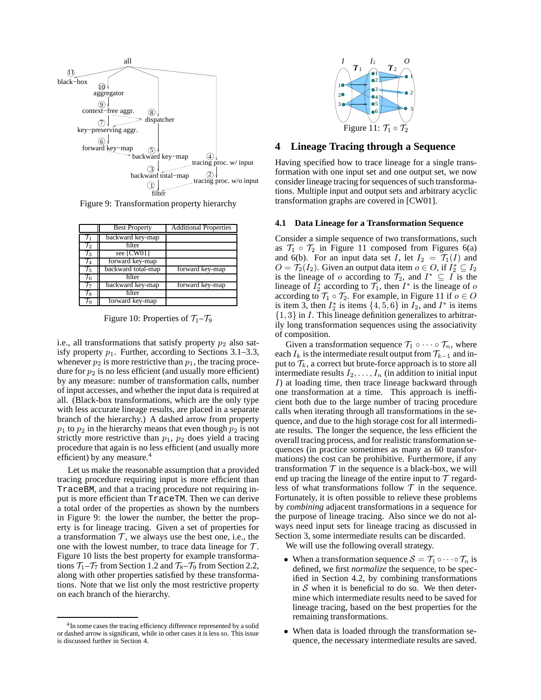

Figure 9: Transformation property hierarchy

|                 | <b>Best Property</b> | <b>Additional Properties</b> |
|-----------------|----------------------|------------------------------|
| $\mathcal{T}_1$ | backward key-map     |                              |
| 72              | filter               |                              |
| $\frac{1}{3}$   | see [CW01]           |                              |
| I 4             | forward key-map      |                              |
| $\frac{7}{5}$   | backward total-map   | forward key-map              |
| 76              | filter               |                              |
| ΄Ι 7            | backward key-map     | forward key-map              |
| 78              | filter               |                              |
| I9              | forward key-map      |                              |

Figure 10: Properties of  $\mathcal{T}_1 - \mathcal{T}_9$ 

i.e., all transformations that satisfy property  $p_2$  also satisfy property  $p_1$ . Further, according to Sections 3.1–3.3, whenever  $p_2$  is more restrictive than  $p_1$ , the tracing procedure for  $p_2$  is no less efficient (and usually more efficient) by any measure: number of transformation calls, number of input accesses, and whether the input data is required at all. (Black-box transformations, which are the only type with less accurate lineage results, are placed in a separate branch of the hierarchy.) A dashed arrow from property  $p_1$  to  $p_2$  in the hierarchy means that even though  $p_2$  is not strictly more restrictive than  $p_1$ ,  $p_2$  does yield a tracing procedure that again is no less efficient (and usually more efficient) by any measure.<sup>4</sup>

Let us make the reasonable assumption that a provided tracing procedure requiring input is more efficient than TraceBM, and that a tracing procedure not requiring input is more efficient than TraceTM. Then we can derive a total order of the properties as shown by the numbers in Figure 9: the lower the number, the better the property is for lineage tracing. Given a set of properties for a transformation  $T$ , we always use the best one, i.e., the one with the lowest number, to trace data lineage for  $\mathcal{T}$ . Figure 10 lists the best property for example transformations  $T_1 - T_7$  from Section 1.2 and  $T_8 - T_9$  from Section 2.2, along with other properties satisfied by these transformations. Note that we list only the most restrictive property on each branch of the hierarchy.



## **4 Lineage Tracing through a Sequence**

Having specified how to trace lineage for a single transformation with one input set and one output set, we now consider lineage tracing for sequences of such transformations. Multiple input and output sets and arbitrary acyclic transformation graphs are covered in [CW01].

#### **4.1 Data Lineage for a Transformation Sequence**

Consider a simple sequence of two transformations, such as  $\mathcal{T}_1 \circ \mathcal{T}_2$  in Figure 11 composed from Figures 6(a) and 6(b). For an input data set I, let  $I_2 = \mathcal{T}_1(I)$  and  $O = \mathcal{T}_2(I_2)$ . Given an output data item  $o \in O$ , if  $I_2^* \subseteq I_2$ is the lineage of o according to  $\mathcal{T}_2$ , and  $I^* \subseteq I$  is the lineage of  $I_2^*$  according to  $\mathcal{T}_1$ , then  $I^*$  is the lineage of  $\circ$ according to  $\mathcal{T}_1 \circ \mathcal{T}_2$ . For example, in Figure 11 if  $o \in O$ is item 3, then  $I_2^*$  is items  $\{4, 5, 6\}$  in  $I_2$ , and  $I^*$  is items  $\{1, 3\}$  in *I*. This lineage definition generalizes to arbitrarily long transformation sequences using the associativity of composition.

Given a transformation sequence  $\mathcal{T}_1 \circ \cdots \circ \mathcal{T}_n$ , where each  $I_k$  is the intermediate result output from  $\mathcal{T}_{k-1}$  and input to  $\mathcal{T}_k$ , a correct but brute-force approach is to store all intermediate results  $I_2, \ldots, I_n$  (in addition to initial input I) at loading time, then trace lineage backward through one transformation at a time. This approach is inefficient both due to the large number of tracing procedure calls when iterating through all transformations in the sequence, and due to the high storage cost for all intermediate results. The longer the sequence, the less efficient the overall tracing process, and for realistic transformation sequences (in practice sometimes as many as 60 transformations) the cost can be prohibitive. Furthermore, if any transformation  $T$  in the sequence is a black-box, we will end up tracing the lineage of the entire input to  $\mathcal T$  regardless of what transformations follow  $T$  in the sequence. Fortunately, it is often possible to relieve these problems by *combining* adjacent transformations in a sequence for the purpose of lineage tracing. Also since we do not always need input sets for lineage tracing as discussed in Section 3, some intermediate results can be discarded.

We will use the following overall strategy.

- When a transformation sequence  $S = \mathcal{T}_1 \circ \cdots \circ \mathcal{T}_n$  is defined, we first *normalize* the sequence, to be specified in Section 4.2, by combining transformations in  $S$  when it is beneficial to do so. We then determine which intermediate results need to be saved for lineage tracing, based on the best properties for the remaining transformations.
- When data is loaded through the transformation sequence, the necessary intermediate results are saved.

<sup>&</sup>lt;sup>4</sup>In some cases the tracing efficiency difference represented by a solid or dashed arrow is significant, while in other cases it is less so. This issue is discussed further in Section 4.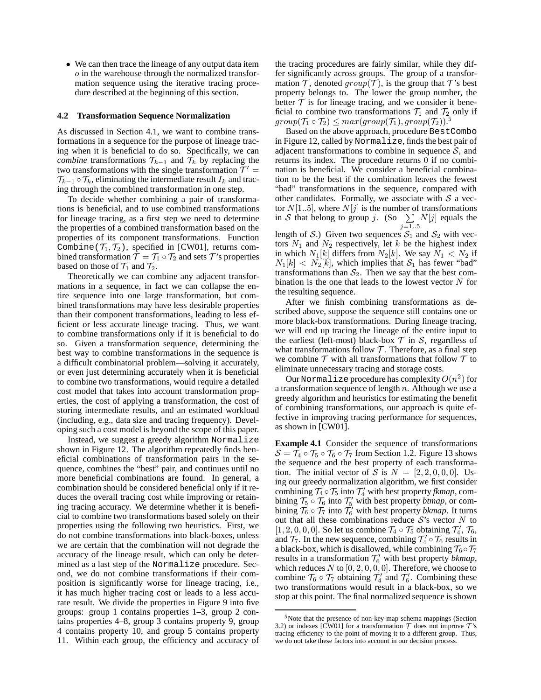• We can then trace the lineage of any output data item o in the warehouse through the normalized transformation sequence using the iterative tracing procedure described at the beginning of this section.

#### **4.2 Transformation Sequence Normalization**

As discussed in Section 4.1, we want to combine transformations in a sequence for the purpose of lineage tracing when it is beneficial to do so. Specifically, we can *combine* transformations  $\mathcal{T}_{k-1}$  and  $\mathcal{T}_k$  by replacing the two transformations with the single transformation  $\bar{\mathcal{T}}'$  =  $\mathcal{T}_{k-1} \circ \mathcal{T}_k$ , eliminating the intermediate result  $I_k$  and tracing through the combined transformation in one step.

To decide whether combining a pair of transformations is beneficial, and to use combined transformations for lineage tracing, as a first step we need to determine the properties of a combined transformation based on the properties of its component transformations. Function Combine( $T_1, T_2$ ), specified in [CW01], returns combined transformation  $\mathcal{T} = \mathcal{T}_1 \circ \mathcal{T}_2$  and sets  $\mathcal{T}'$ 's properties based on those of  $\mathcal{T}_1$  and  $\mathcal{T}_2$ .

Theoretically we can combine any adjacent transformations in a sequence, in fact we can collapse the entire sequence into one large transformation, but combined transformations may have less desirable properties than their component transformations, leading to less efficient or less accurate lineage tracing. Thus, we want to combine transformations only if it is beneficial to do so. Given a transformation sequence, determining the best way to combine transformations in the sequence is a difficult combinatorial problem—solving it accurately, or even just determining accurately when it is beneficial to combine two transformations, would require a detailed cost model that takes into account transformation properties, the cost of applying a transformation, the cost of storing intermediate results, and an estimated workload (including, e.g., data size and tracing frequency). Developing such a cost model is beyond the scope of this paper.

Instead, we suggest a greedy algorithm Normalize shown in Figure 12. The algorithm repeatedly finds beneficial combinations of transformation pairs in the sequence, combines the "best" pair, and continues until no more beneficial combinations are found. In general, a combination should be considered beneficial only if it reduces the overall tracing cost while improving or retaining tracing accuracy. We determine whether it is beneficial to combine two transformations based solely on their properties using the following two heuristics. First, we do not combine transformations into black-boxes, unless we are certain that the combination will not degrade the accuracy of the lineage result, which can only be determined as a last step of the Normalize procedure. Second, we do not combine transformations if their composition is significantly worse for lineage tracing, i.e., it has much higher tracing cost or leads to a less accurate result. We divide the properties in Figure 9 into five groups: group 1 contains properties 1–3, group 2 contains properties 4–8, group 3 contains property 9, group 4 contains property 10, and group 5 contains property 11. Within each group, the efficiency and accuracy of

the tracing procedures are fairly similar, while they differ significantly across groups. The group of a transformation  $\mathcal T$ , denoted  $group(\mathcal T)$ , is the group that  $\mathcal T$ 's best property belongs to. The lower the group number, the better  $T$  is for lineage tracing, and we consider it beneficial to combine two transformations  $\mathcal{T}_1$  and  $\mathcal{T}_2$  only if  $group(\mathcal{T}_1 \circ \mathcal{T}_2) \leq max(group(\mathcal{T}_1), group(\mathcal{T}_2)).^5$ 

Based on the above approach, procedure BestCombo in Figure 12, called by Normalize, finds the best pair of adjacent transformations to combine in sequence  $S$ , and returns its index. The procedure returns 0 if no combination is beneficial. We consider a beneficial combination to be the best if the combination leaves the fewest "bad" transformations in the sequence, compared with other candidates. Formally, we associate with  $S$  a vector  $N[1..5]$ , where  $N[j]$  is the number of transformations in S that belong to group j. (So  $\Sigma$  $j=1...5$  $N[j]$  equals the length of S.) Given two sequences  $S_1$  and  $S_2$  with vectors  $N_1$  and  $N_2$  respectively, let k be the highest index in which  $N_1[k]$  differs from  $N_2[k]$ . We say  $N_1 < N_2$  if  $N_1[k] < N_2[k]$ , which implies that  $S_1$  has fewer "bad"

the resulting sequence. After we finish combining transformations as described above, suppose the sequence still contains one or more black-box transformations. During lineage tracing, we will end up tracing the lineage of the entire input to the earliest (left-most) black-box  $\mathcal T$  in  $\mathcal S$ , regardless of what transformations follow  $T$ . Therefore, as a final step we combine  $T$  with all transformations that follow  $T$  to eliminate unnecessary tracing and storage costs.

transformations than  $S_2$ . Then we say that the best combination is the one that leads to the lowest vector  $N$  for

Our Normalize procedure has complexity  $O(n^2)$  for a transformation sequence of length  $n$ . Although we use a greedy algorithm and heuristics for estimating the benefit of combining transformations, our approach is quite effective in improving tracing performance for sequences, as shown in [CW01].

**Example 4.1** Consider the sequence of transformations  $S = \overline{T}_4 \circ T_5 \circ T_6 \circ T_7$  from Section 1.2. Figure 13 shows the sequence and the best property of each transformation. The initial vector of S is  $N = [2, 2, 0, 0, 0]$ . Using our greedy normalization algorithm, we first consider combining  $\mathcal{T}_4 \circ \mathcal{T}_5$  into  $\mathcal{T}'_4$  with best property *fkmap*, combining  $\mathcal{T}_5 \circ \mathcal{T}_6$  into  $\mathcal{T}_5'$  with best property *btmap*, or combining  $\mathcal{T}_6 \circ \mathcal{T}_7$  into  $\mathcal{T}_6'$  with best property *bkmap*. It turns out that all these combinations reduce  $S$ 's vector  $N$  to [1, 2, 0, 0, 0]. So let us combine  $\mathcal{T}_4 \circ \mathcal{T}_5$  obtaining  $\mathcal{T}'_4$ ,  $\mathcal{T}_6$ , and  $\mathcal{T}_7$ . In the new sequence, combining  $\mathcal{T}'_4 \circ \mathcal{T}_6$  results in a black-box, which is disallowed, while combining  $\mathcal{T}_6 \circ \mathcal{T}_7$ results in a transformation  $\mathcal{T}'_6$  with best property *bkmap*, which reduces  $N$  to  $[0, 2, 0, 0, 0]$ . Therefore, we choose to combine  $\mathcal{T}_6 \circ \mathcal{T}_7$  obtaining  $\mathcal{T}_4'$  and  $\mathcal{T}_6'$ . Combining these two transformations would result in a black-box, so we stop at this point. The final normalized sequence is shown

<sup>5</sup>Note that the presence of non-key-map schema mappings (Section 3.2) or indexes [CW01] for a transformation  $T$  does not improve  $T$ 's tracing efficiency to the point of moving it to a different group. Thus, we do not take these factors into account in our decision process.